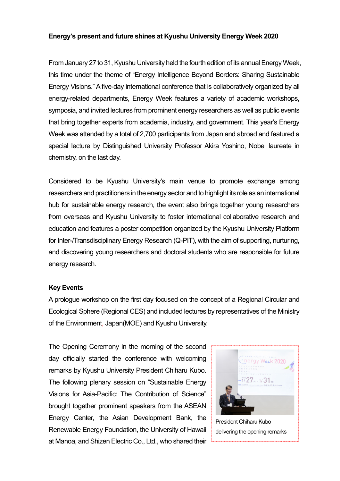## **Energy's present and future shines at Kyushu University Energy Week 2020**

From January 27 to 31, Kyushu University held the fourth edition of its annual Energy Week, this time under the theme of "Energy Intelligence Beyond Borders: Sharing Sustainable Energy Visions." A five-day international conference that is collaboratively organized by all energy-related departments, Energy Week features a variety of academic workshops, symposia, and invited lectures from prominent energy researchers as well as public events that bring together experts from academia, industry, and government. This year's Energy Week was attended by a total of 2,700 participants from Japan and abroad and featured a special lecture by Distinguished University Professor Akira Yoshino, Nobel laureate in chemistry, on the last day.

Considered to be Kyushu University's main venue to promote exchange among researchers and practitioners in the energy sector and to highlight its role as an international hub for sustainable energy research, the event also brings together young researchers from overseas and Kyushu University to foster international collaborative research and education and features a poster competition organized by the Kyushu University Platform for Inter-/Transdisciplinary Energy Research (Q-PIT), with the aim of supporting, nurturing, and discovering young researchers and doctoral students who are responsible for future energy research.

## **Key Events**

A prologue workshop on the first day focused on the concept of a Regional Circular and Ecological Sphere (Regional CES) and included lectures by representatives of the Ministry of the Environment, Japan(MOE) and Kyushu University.

The Opening Ceremony in the morning of the second day officially started the conference with welcoming remarks by Kyushu University President Chiharu Kubo. The following plenary session on "Sustainable Energy Visions for Asia-Pacific: The Contribution of Science" brought together prominent speakers from the ASEAN Energy Center, the Asian Development Bank, the Renewable Energy Foundation, the University of Hawaii at Manoa, and Shizen Electric Co., Ltd., who shared their



President Chiharu Kubo delivering the opening remarks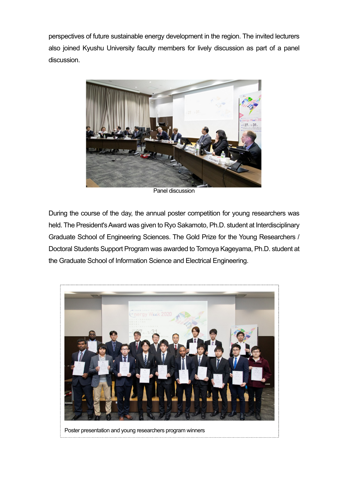perspectives of future sustainable energy development in the region. The invited lecturers also joined Kyushu University faculty members for lively discussion as part of a panel discussion.



Panel discussion

During the course of the day, the annual poster competition for young researchers was held. The President's Award was given to Ryo Sakamoto, Ph.D. student at Interdisciplinary Graduate School of Engineering Sciences. The Gold Prize for the Young Researchers / Doctoral Students Support Program was awarded to Tomoya Kageyama, Ph.D. student at the Graduate School of Information Science and Electrical Engineering.

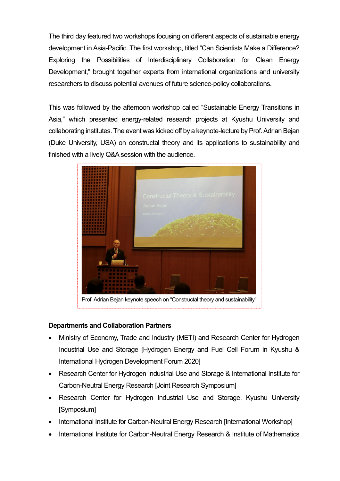The third day featured two workshops focusing on different aspects of sustainable energy development in Asia-Pacific. The first workshop, titled "Can Scientists Make a Difference? Exploring the Possibilities of Interdisciplinary Collaboration for Clean Energy Development," brought together experts from international organizations and university researchers to discuss potential avenues of future science-policy collaborations.

This was followed by the afternoon workshop called "Sustainable Energy Transitions in Asia," which presented energy-related research projects at Kyushu University and collaborating institutes. The event was kicked off by a keynote-lecture by Prof. Adrian Bejan (Duke University, USA) on constructal theory and its applications to sustainability and finished with a lively Q&A session with the audience.



## **Departments and Collaboration Partners**

- Ministry of Economy, Trade and Industry (METI) and Research Center for Hydrogen Industrial Use and Storage [Hydrogen Energy and Fuel Cell Forum in Kyushu & International Hydrogen Development Forum 2020]
- Research Center for Hydrogen Industrial Use and Storage & International Institute for Carbon-Neutral Energy Research [Joint Research Symposium]
- Research Center for Hydrogen Industrial Use and Storage, Kyushu University [Symposium]
- International Institute for Carbon-Neutral Energy Research [International Workshop]
- International Institute for Carbon-Neutral Energy Research & Institute of Mathematics